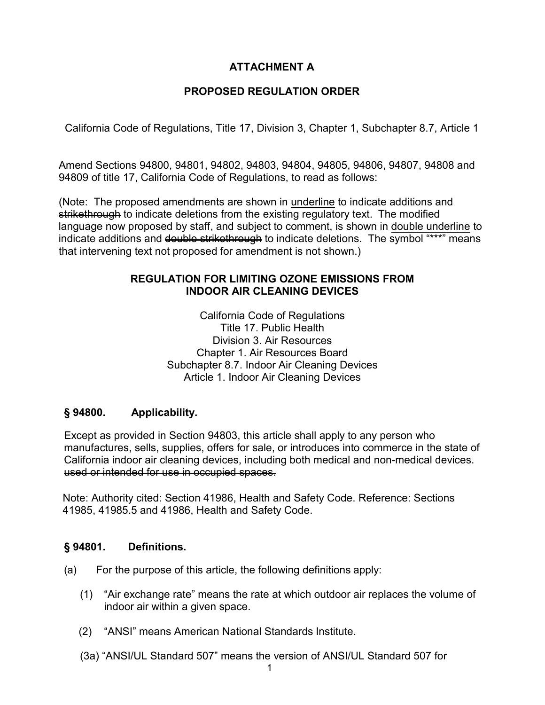# **ATTACHMENT A**

# **PROPOSED REGULATION ORDER**

California Code of Regulations, Title 17, Division 3, Chapter 1, Subchapter 8.7, Article 1

 Amend Sections 94800, 94801, 94802, 94803, 94804, 94805, 94806, 94807, 94808 and 94809 of title 17, California Code of Regulations, to read as follows:

(Note: The proposed amendments are shown in underline to indicate additions and s<del>trikethrough</del> to indicate deletions from the existing regulatory text. The modified indicate additions and <del>double strikethrough</del> to indicate deletions. The symbol "\*\*\*" means language now proposed by staff, and subject to comment, is shown in double underline to that intervening text not proposed for amendment is not shown.)

# **REGULATION FOR LIMITING OZONE EMISSIONS FROM INDOOR AIR CLEANING DEVICES**

California Code of Regulations Title 17. Public Health Division 3. Air Resources Chapter 1. Air Resources Board Subchapter 8.7. Indoor Air Cleaning Devices Article 1. Indoor Air Cleaning Devices

## **§ 94800. Applicability.**

 manufactures, sells, supplies, offers for sale, or introduces into commerce in the state of Except as provided in Section 94803, this article shall apply to any person who California indoor air cleaning devices, including both medical and non-medical devices. used or intended for use in occupied spaces.

Note: Authority cited: Section 41986, Health and Safety Code. Reference: Sections 41985, 41985.5 and 41986, Health and Safety Code.

#### **Definitions.**

- (a) For the purpose of this article, the following definitions apply:
	- indoor air within a given space. (1) "Air exchange rate" means the rate at which outdoor air replaces the volume of
	- (2) "ANSI" means American National Standards Institute.
	- (3a) "ANSI/UL Standard 507" means the version of ANSI/UL Standard 507 for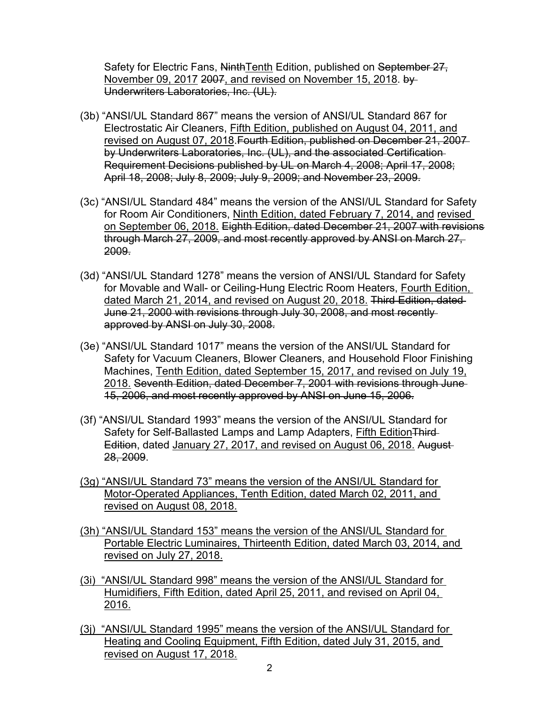Safety for Electric Fans, NinthTenth Edition, published on September 27, November 09, 2017 2007, and revised on November 15, 2018. by Underwriters Laboratories, Inc. (UL).

- by Underwriters Laboratories, Inc. (UL), and the associated Certification (3b) "ANSI/UL Standard 867" means the version of ANSI/UL Standard 867 for Electrostatic Air Cleaners, Fifth Edition, published on August 04, 2011, and revised on August 07, 2018.Fourth Edition, published on December 21, 2007 Requirement Decisions published by UL on March 4, 2008; April 17, 2008; April 18, 2008; July 8, 2009; July 9, 2009; and November 23, 2009.
- (3c) "ANSI/UL Standard 484" means the version of the ANSI/UL Standard for Safety for Room Air Conditioners, Ninth Edition, dated February 7, 2014, and revised on September 06, 2018. Eighth Edition, dated December 21, 2007 with revisions through March 27, 2009, and most recently approved by ANSI on March 27, 2009.
- June 21, 2000 with revisions through July 30, 2008, and most recently (3d) "ANSI/UL Standard 1278" means the version of ANSI/UL Standard for Safety for Movable and Wall- or Ceiling-Hung Electric Room Heaters, Fourth Edition, dated March 21, 2014, and revised on August 20, 2018. Third Edition, dated approved by ANSI on July 30, 2008.
- 15, 2006, and most recently approved by ANSI on June 15, 2006. (3e) "ANSI/UL Standard 1017" means the version of the ANSI/UL Standard for Safety for Vacuum Cleaners, Blower Cleaners, and Household Floor Finishing Machines, Tenth Edition, dated September 15, 2017, and revised on July 19, 2018. Seventh Edition, dated December 7, 2001 with revisions through June
- Edition, dated January 27, 2017, and revised on August 06, 2018. August (3f) "ANSI/UL Standard 1993" means the version of the ANSI/UL Standard for Safety for Self-Ballasted Lamps and Lamp Adapters, Fifth Edition Third-28, 2009.
- (3g) "ANSI/UL Standard 73" means the version of the ANSI/UL Standard for Motor-Operated Appliances, Tenth Edition, dated March 02, 2011, and revised on August 08, 2018.
- (3h) "ANSI/UL Standard 153" means the version of the ANSI/UL Standard for Portable Electric Luminaires, Thirteenth Edition, dated March 03, 2014, and revised on July 27, 2018.
- (3i) "ANSI/UL Standard 998" means the version of the ANSI/UL Standard for Humidifiers, Fifth Edition, dated April 25, 2011, and revised on April 04, 2016.
- (3j) "ANSI/UL Standard 1995" means the version of the ANSI/UL Standard for Heating and Cooling Equipment, Fifth Edition, dated July 31, 2015, and revised on August 17, 2018.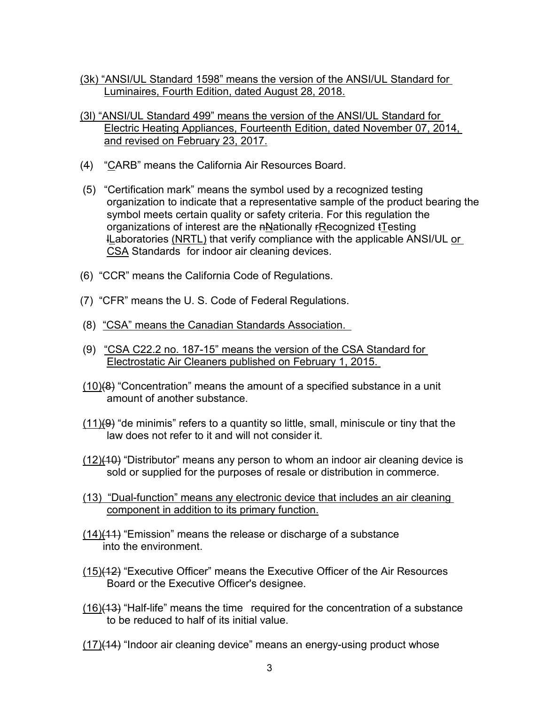- (3k) "ANSI/UL Standard 1598" means the version of the ANSI/UL Standard for Luminaires, Fourth Edition, dated August 28, 2018.
- (3l) "ANSI/UL Standard 499" means the version of the ANSI/UL Standard for Electric Heating Appliances, Fourteenth Edition, dated November 07, 2014, and revised on February 23, 2017.
- (4) "CARB" means the California Air Resources Board.
- **l<u>L</u>aboratories <u>(NRTL)</u> that verify compliance with the applicable ANSI/UL <u>or</u>** (5) "Certification mark" means the symbol used by a recognized testing organization to indicate that a representative sample of the product bearing the symbol meets certain quality or safety criteria. For this regulation the organizations of interest are the nNationally rRecognized tTesting CSA Standards for indoor air cleaning devices.
- (6) "CCR" means the California Code of Regulations.
- (7) "CFR" means the U. S. Code of Federal Regulations.
- (8) "CSA" means the Canadian Standards Association.
- (8) <u>"CSA" means the Canadian Standards Association.</u><br>(9) <u>"CSA C22.2 no. 187-15" means the version of the CSA Standard for</u> Electrostatic Air Cleaners published on February 1, 2015.
- amount of another substance.  $(10)(8)$  "Concentration" means the amount of a specified substance in a unit
- law does not refer to it and will not consider it.  $(11)$ (9) "de minimis" refers to a quantity so little, small, miniscule or tiny that the
- sold or supplied for the purposes of resale or distribution in commerce.  $(12)(10)$  "Distributor" means any person to whom an indoor air cleaning device is
- (13) "Dual-function" means any electronic device that includes an air cleaning component in addition to its primary function.
- (14)(11) "Emission" means the release or discharge of a substance into the environment.
- Board or the Executive Officer's designee. (15)(12) "Executive Officer" means the Executive Officer of the Air Resources
- <u>(16)</u>(<del>13</del>) "Half-life" means the time required for the concentration of a substance to be reduced to half of its initial value.
- $(17)(14)$  "Indoor air cleaning device" means an energy-using product whose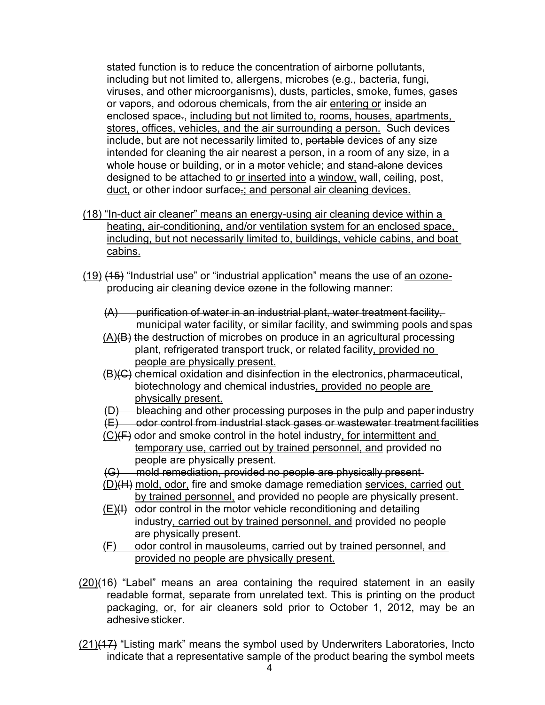including but not limited to, allergens, microbes (e.g., bacteria, fungi, viruses, and other microorganisms), dusts, particles, smoke, fumes, gases stores, offices, vehicles, and the air surrounding a person. Such devices designed to be attached to <u>or inserted into</u> a <u>window,</u> wall, ceiling, post, stated function is to reduce the concentration of airborne pollutants, or vapors, and odorous chemicals, from the air entering or inside an enclosed space-, including but not limited to, rooms, houses, apartments, include, but are not necessarily limited to, portable devices of any size intended for cleaning the air nearest a person, in a room of any size, in a whole house or building, or in a motor vehicle; and stand-alone devices duct, or other indoor surface.; and personal air cleaning devices.

- including, but not necessarily limited to, buildings, vehicle cabins, and boat (18) "In-duct air cleaner" means an energy-using air cleaning device within a heating, air-conditioning, and/or ventilation system for an enclosed space, cabins.
- <u>(19)</u> <del>(15)</del> "Industrial use" or "industrial application" means the use of <u>an ozone-</u> producing air cleaning device ezone in the following manner:
	- (A) purification of water in an industrial plant, water treatment facility, municipal water facility, or similar facility, and swimming pools and spas
	- $(A)(B)$  the destruction of microbes on produce in an agricultural processing plant, refrigerated transport truck, or related facility, provided no people are physically present.
	- <u>(B)</u>(C) chemical oxidation and disinfection in the electronics, pharmaceutical, biotechnology and chemical industries, provided no people are physically present.
	- (D) bleaching and other processing purposes in the pulp and paper industry
	- (E) odor control from industrial stack gases or wastewater treatment facilities
	- temporary use, carried out by trained personnel, and provided no people are physically present.  $(C)(F)$  odor and smoke control in the hotel industry, for intermittent and
	- (G) mold remediation, provided no people are physically present
	- by trained personnel, and provided no people are physically present. (D)(H) mold, odor, fire and smoke damage remediation services, carried out
	- industry, carried out by trained personnel, and provided no people are physically present.  $(E)(H)$  odor control in the motor vehicle reconditioning and detailing
	- (F) odor control in mausoleums, carried out by trained personnel, and provided no people are physically present.
- packaging, or, for air cleaners sold prior to October 1, 2012, may be an adhesive sticker.  $(20)(16)$  "Label" means an area containing the required statement in an easily readable format, separate from unrelated text. This is printing on the product
- indicate that a representative sample of the product bearing the symbol meets (21)(17) "Listing mark" means the symbol used by Underwriters Laboratories, Incto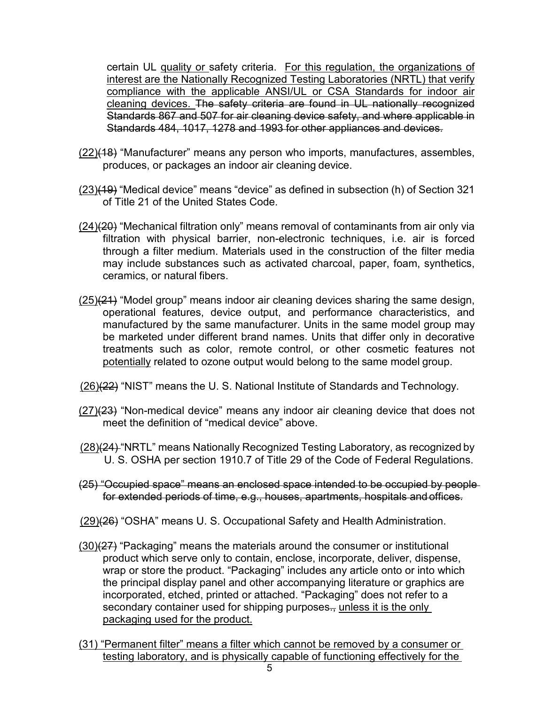certain UL quality or safety criteria. For this regulation, the organizations of interest are the Nationally Recognized Testing Laboratories (NRTL) that verify Standards 484, 1017, 1278 and 1993 for other appliances and devices. compliance with the applicable ANSI/UL or CSA Standards for indoor air cleaning devices. The safety criteria are found in UL nationally recognized Standards 867 and 507 for air cleaning device safety, and where applicable in

- produces, or packages an indoor air cleaning device. (22)(18) "Manufacturer" means any person who imports, manufactures, assembles,
- of Title 21 of the United States Code. (23)(19) "Medical device" means "device" as defined in subsection (h) of Section 321
- <u>(24)</u>(<del>20)</del> "Mechanical filtration only" means removal of contaminants from air only via through a filter medium. Materials used in the construction of the filter media may include substances such as activated charcoal, paper, foam, synthetics, ceramics, or natural fibers. filtration with physical barrier, non-electronic techniques, i.e. air is forced
- operational features, device output, and performance characteristics, and manufactured by the same manufacturer. Units in the same model group may treatments such as color, remote control, or other cosmetic features not potentially related to ozone output would belong to the same model group. (25)(21) "Model group" means indoor air cleaning devices sharing the same design, be marketed under different brand names. Units that differ only in decorative
- (26)(22) "NIST" means the U. S. National Institute of Standards and Technology.
- meet the definition of "medical device" above. (27)(23) "Non-medical device" means any indoor air cleaning device that does not
- <u>(28)</u>(<del>24)</del> "NRTL" means Nationally Recognized Testing Laboratory, as recognized by U. S. OSHA per section 1910.7 of Title 29 of the Code of Federal Regulations.
- for extended periods of time, e.g., houses, apartments, hospitals and offices. (25) "Occupied space" means an enclosed space intended to be occupied by people
- (29)(26) "OSHA" means U. S. Occupational Safety and Health Administration.
- secondary container used for shipping purposes<del>.,</del> <u>unless it is the only</u>  $(30)(27)$  "Packaging" means the materials around the consumer or institutional product which serve only to contain, enclose, incorporate, deliver, dispense, wrap or store the product. "Packaging" includes any article onto or into which the principal display panel and other accompanying literature or graphics are incorporated, etched, printed or attached. "Packaging" does not refer to a packaging used for the product.
- (31) "Permanent filter" means a filter which cannot be removed by a consumer or testing laboratory, and is physically capable of functioning effectively for the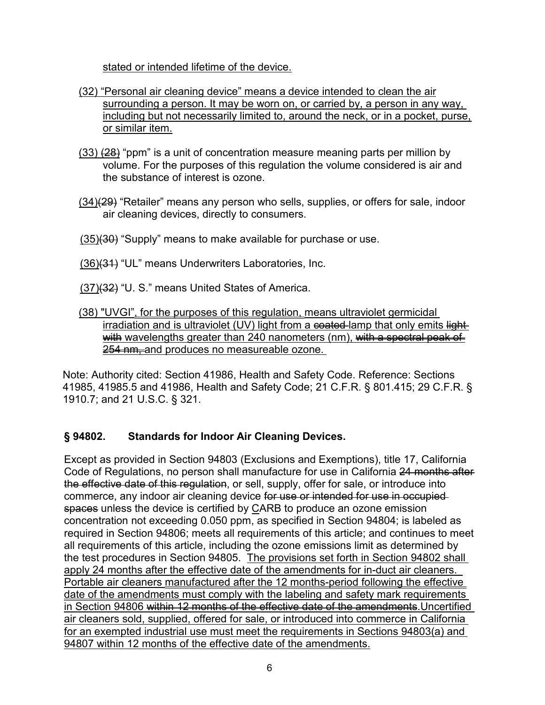stated or intended lifetime of the device.

- surrounding a person. It may be worn on, or carried by, a person in any way, including but not necessarily limited to, around the neck, or in a pocket, purse, (32) "Personal air cleaning device" means a device intended to clean the air or similar item.
- (33) <del>(28)</del> "ppm" is a unit of concentration measure meaning parts per million by volume. For the purposes of this regulation the volume considered is air and the substance of interest is ozone.
- <u>(34)(29</u>) "Retailer" means any person who sells, supplies, or offers for sale, indoor air cleaning devices, directly to consumers.
- <u>(35)</u><del>(30)</del> "Supply" means to make available for purchase or use.
- <u>(36)</u><del>(31)</del> "UL" means Underwriters Laboratories, Inc.
- <u>(37)(32</u>) "U. S." means United States of America.
- 254 nm, and produces no measureable ozone. (38) "UVGI", for the purposes of this regulation, means ultraviolet germicidal irradiation and is ultraviolet (UV) light from a  $\epsilon$  and  $\epsilon$  and  $\epsilon$  only emits lightwith wavelengths greater than 240 nanometers (nm), with a spectral peak of

 41985, 41985.5 and 41986, Health and Safety Code; 21 C.F.R. § 801.415; 29 C.F.R. § Note: Authority cited: Section 41986, Health and Safety Code. Reference: Sections 1910.7; and 21 U.S.C. § 321.

## § 94802. **Standards for Indoor Air Cleaning Devices.**

t<del>he effective date of this regulation</del>, or sell, supply, offer for sale, or introduce into the test procedures in Section 94805. The provisions set forth in Section 94802 shall apply 24 months after the effective date of the amendments for in-duct air cleaners. Except as provided in Section 94803 (Exclusions and Exemptions), title 17, California Code of Regulations, no person shall manufacture for use in California 24 months after commerce, any indoor air cleaning device for use or intended for use in occupiedspaces unless the device is certified by CARB to produce an ozone emission concentration not exceeding 0.050 ppm, as specified in Section 94804; is labeled as required in Section 94806; meets all requirements of this article; and continues to meet all requirements of this article, including the ozone emissions limit as determined by Portable air cleaners manufactured after the 12 months-period following the effective date of the amendments must comply with the labeling and safety mark requirements in Section 94806 within 12 months of the effective date of the amendments. Uncertified air cleaners sold, supplied, offered for sale, or introduced into commerce in California for an exempted industrial use must meet the requirements in Sections 94803(a) and 94807 within 12 months of the effective date of the amendments.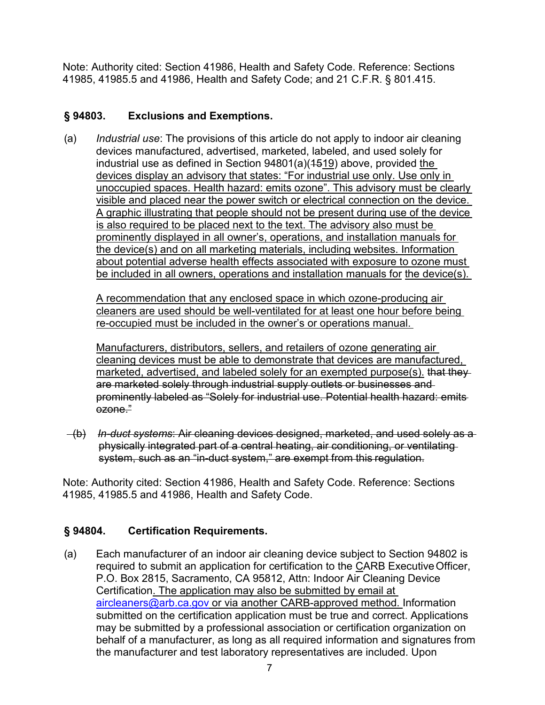Note: Authority cited: Section 41986, Health and Safety Code. Reference: Sections 41985, 41985.5 and 41986, Health and Safety Code; and 21 C.F.R. § 801.415.

### **Exclusions and Exemptions.**

 devices manufactured, advertised, marketed, labeled, and used solely for unoccupied spaces. Health hazard: emits ozone". This advisory must be clearly visible and placed near the power switch or electrical connection on the device. visible and placed near the power switch or electrical connection on the device.<br>A graphic illustrating that people should not be present during use of the device<sub>.</sub> prominently displayed in all owner's, operations, and installation manuals for about potential adverse health effects associated with exposure to ozone must be included in all owners, operations and installation manuals for the device(s). (a) *Industrial use*: The provisions of this article do not apply to indoor air cleaning industrial use as defined in Section 94801(a)(1519) above, provided the devices display an advisory that states: "For industrial use only. Use only in is also required to be placed next to the text. The advisory also must be the device(s) and on all marketing materials, including websites. Information

 re-occupied must be included in the owner's or operations manual. A recommendation that any enclosed space in which ozone-producing air cleaners are used should be well-ventilated for at least one hour before being

Manufacturers, distributors, sellers, and retailers of ozone generating air cleaning devices must be able to demonstrate that devices are manufactured, marketed, advertised, and labeled solely for an exempted purpose(s). that theyare marketed solely through industrial supply outlets or businesses and prominently labeled as "Solely for industrial use. Potential health hazard: emits ozone."

 (b) *In-duct systems*: Air cleaning devices designed, marketed, and used solely as a system, such as an "in-duct system," are exempt from this regulation. physically integrated part of a central heating, air conditioning, or ventilating

Note: Authority cited: Section 41986, Health and Safety Code. Reference: Sections 41985, 41985.5 and 41986, Health and Safety Code.

#### **Certification Requirements.**

required to submit an application for certification to the <u>C</u>ARB Executive Officer, Certification. The application may also be submitted by email at behalf of a manufacturer, as long as all required information and signatures from (a) Each manufacturer of an indoor air cleaning device subject to Section 94802 is P.O. Box 2815, Sacramento, CA 95812, Attn: Indoor Air Cleaning Device [aircleaners@arb.ca.gov](mailto:aircleaners@arb.ca.gov) or via another CARB-approved method. Information submitted on the certification application must be true and correct. Applications may be submitted by a professional association or certification organization on the manufacturer and test laboratory representatives are included. Upon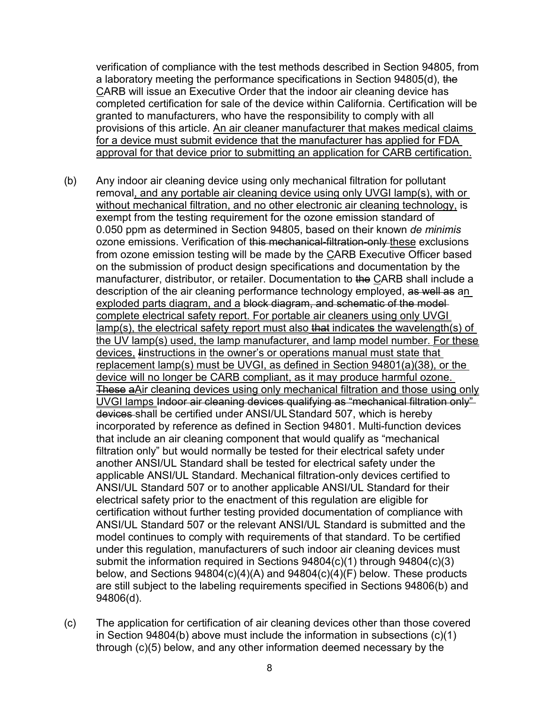verification of compliance with the test methods described in Section 94805, from a laboratory meeting the performance specifications in Section 94805(d), the CARB will issue an Executive Order that the indoor air cleaning device has completed certification for sale of the device within California. Certification will be granted to manufacturers, who have the responsibility to comply with all provisions of this article. An air cleaner manufacturer that makes medical claims for a device must submit evidence that the manufacturer has applied for FDA approval for that device prior to submitting an application for CARB certification.

- removal, and any portable air cleaning device using only UVGI lamp(s), with or without mechanical filtration, and no other electronic air cleaning technology, is exempt from the testing requirement for the ozone emission standard of ozone emissions. Verification of <del>this mechanical-filtration-only <u>these</u> exclusions</del> exploded parts diagram, and a block diagram, and schematic of the model <u>lamp(s), the electrical safety report must also <del>that</del> indicates the wavelength(s) of</u> These aAir cleaning devices using only mechanical filtration and those using only <del>devices </del>shall be certified under ANSI/UL Standard 507, which is hereby filtration only" but would normally be tested for their electrical safety under applicable ANSI/UL Standard. Mechanical filtration-only devices certified to (b) Any indoor air cleaning device using only mechanical filtration for pollutant 0.050 ppm as determined in Section 94805, based on their known *de minimis*  from ozone emission testing will be made by the CARB Executive Officer based on the submission of product design specifications and documentation by the manufacturer, distributor, or retailer. Documentation to the CARB shall include a description of the air cleaning performance technology employed, as well as an complete electrical safety report. For portable air cleaners using only UVGI the UV lamp(s) used, the lamp manufacturer, and lamp model number. For these devices, linstructions in the owner's or operations manual must state that replacement lamp(s) must be UVGI, as defined in Section 94801(a)(38), or the device will no longer be CARB compliant, as it may produce harmful ozone. UVGI lamps Indoor air cleaning devices qualifying as "mechanical filtration only" incorporated by reference as defined in Section 94801. Multi-function devices that include an air cleaning component that would qualify as "mechanical another ANSI/UL Standard shall be tested for electrical safety under the ANSI/UL Standard 507 or to another applicable ANSI/UL Standard for their electrical safety prior to the enactment of this regulation are eligible for certification without further testing provided documentation of compliance with ANSI/UL Standard 507 or the relevant ANSI/UL Standard is submitted and the model continues to comply with requirements of that standard. To be certified under this regulation, manufacturers of such indoor air cleaning devices must submit the information required in Sections 94804(c)(1) through 94804(c)(3) below, and Sections 94804(c)(4)(A) and 94804(c)(4)(F) below. These products are still subject to the labeling requirements specified in Sections 94806(b) and 94806(d).
- (c) The application for certification of air cleaning devices other than those covered in Section 94804(b) above must include the information in subsections (c)(1) through (c)(5) below, and any other information deemed necessary by the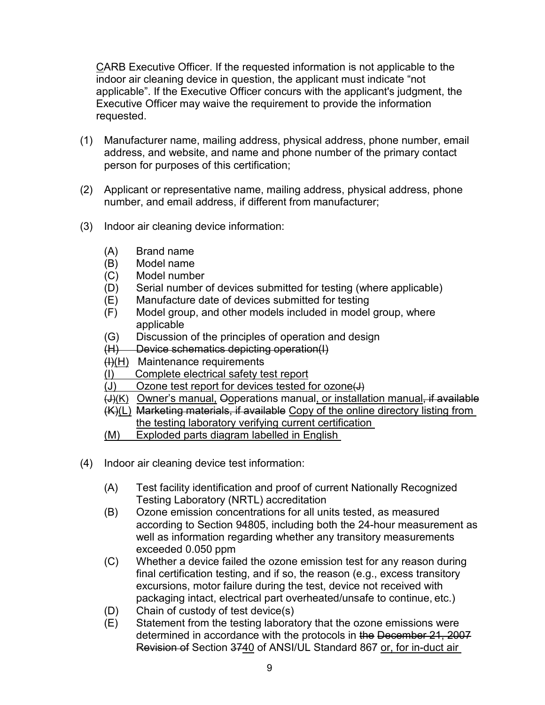Executive Officer may waive the requirement to provide the information CARB Executive Officer. If the requested information is not applicable to the indoor air cleaning device in question, the applicant must indicate "not applicable". If the Executive Officer concurs with the applicant's judgment, the requested.

- address, and website, and name and phone number of the primary contact (1) Manufacturer name, mailing address, physical address, phone number, email person for purposes of this certification;
- (2) Applicant or representative name, mailing address, physical address, phone number, and email address, if different from manufacturer;
- (3) Indoor air cleaning device information:
	- (A) Brand name
	- (B) Model name
	- (C) Model number
	- (D) Serial number of devices submitted for testing (where applicable)
	- (E) Manufacture date of devices submitted for testing
	- (F) Model group, and other models included in model group, where applicable
	- (G) Discussion of the principles of operation and design
	- (H) Device schematics depicting operation(I)
	- (<del>I)</del>(H) Maintenance requirements
	- $(1)$ Complete electrical safety test report
	- $(J)$ Ozone test report for devices tested for ozone(J)
	- <del>(J)</del><u>(K)</u> Owner's manual, Ooperations manual<u>, or installation manual, if available</u>
	- the testing laboratory verifying current certification (K)(L) Marketing materials, if available Copy of the online directory listing from
	- Exploded parts diagram labelled in English
- <u>(M) Exploded parts diagram labelled in E</u><br>(4) Indoor air cleaning device test information:
	- (A) Test facility identification and proof of current Nationally Recognized Testing Laboratory (NRTL) accreditation
	- (B) Ozone emission concentrations for all units tested, as measured according to Section 94805, including both the 24-hour measurement as exceeded 0.050 ppm well as information regarding whether any transitory measurements
	- (C) Whether a device failed the ozone emission test for any reason during packaging intact, electrical part overheated/unsafe to continue, etc.) final certification testing, and if so, the reason (e.g., excess transitory excursions, motor failure during the test, device not received with
	- (D) Chain of custody of test device(s)
	- (E) Statement from the testing laboratory that the ozone emissions were determined in accordance with the protocols in the December 21, 2007 Revision of Section 3740 of ANSI/UL Standard 867 or, for in-duct air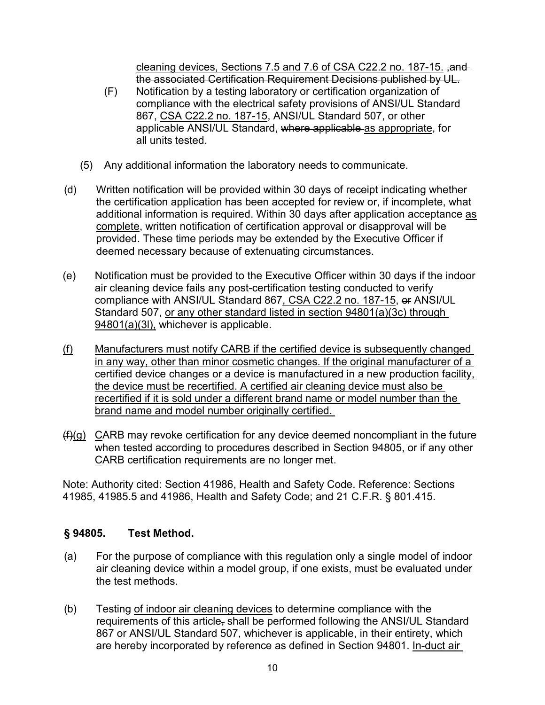cleaning devices, Sections 7.5 and 7.6 of CSA C22.2 no. 187-15. ,and the associated Certification Requirement Decisions published by UL.

- 867, <u>CSA C22.2 no. 187-15,</u> ANSI/UL Standard 507, or other all units tested. (F) Notification by a testing laboratory or certification organization of compliance with the electrical safety provisions of ANSI/UL Standard applicable ANSI/UL Standard, where applicable as appropriate, for
- (5) Any additional information the laboratory needs to communicate.
- (d) Written notification will be provided within 30 days of receipt indicating whether the certification application has been accepted for review or, if incomplete, what additional information is required. Within 30 days after application acceptance as complete, written notification of certification approval or disapproval will be provided. These time periods may be extended by the Executive Officer if deemed necessary because of extenuating circumstances.
- (e) Notification must be provided to the Executive Officer within 30 days if the indoor compliance with ANSI/UL Standard 867<u>, CSA C22.2 no. 187-15</u>, <del>or</del> ANSI/UL air cleaning device fails any post-certification testing conducted to verify Standard 507, or any other standard listed in section 94801(a)(3c) through 94801(a)(3l), whichever is applicable.
- in any way, other than minor cosmetic changes. If the original manufacturer of a the device must be recertified. A certified air cleaning device must also be recertified if it is sold under a different brand name or model number than the brand name and model number originally certified. (f) Manufacturers must notify CARB if the certified device is subsequently changed certified device changes or a device is manufactured in a new production facility,
- $(f)(g)$   $C$ ARB may revoke certification for any device deemed noncompliant in the future when tested according to procedures described in Section 94805, or if any other <u>C</u>ARB certification requirements are no longer met.

Note: Authority cited: Section 41986, Health and Safety Code. Reference: Sections 41985, 41985.5 and 41986, Health and Safety Code; and 21 C.F.R. § 801.415.

# § 94805. **§ 94805. Test Method.**

- the test methods. (a) For the purpose of compliance with this regulation only a single model of indoor air cleaning device within a model group, if one exists, must be evaluated under
- are hereby incorporated by reference as defined in Section 94801. <u>In-duct air</u> (b) Testing of indoor air cleaning devices to determine compliance with the requirements of this article, shall be performed following the ANSI/UL Standard 867 or ANSI/UL Standard 507, whichever is applicable, in their entirety, which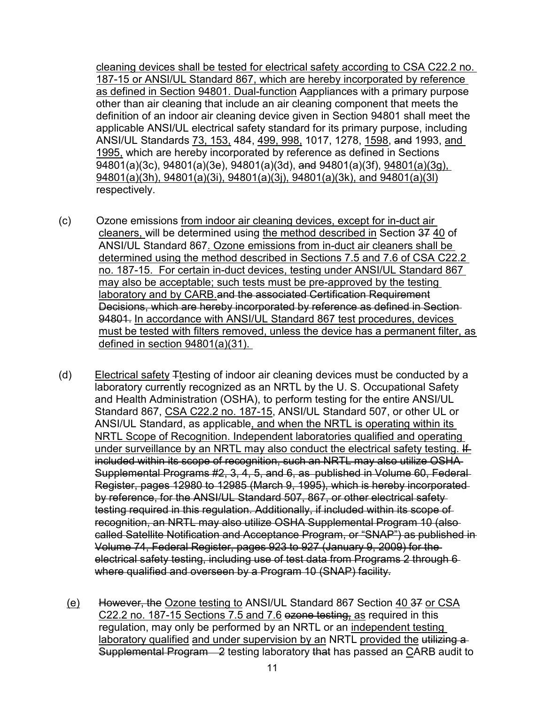187-15 or ANSI/UL Standard 867, which are hereby incorporated by reference ANSI/UL Standards <u>73, 153,</u> 484, <u>499, 998,</u> 1017, 1278, <u>1598,</u> <del>and</del> 1993, <u>and\_</u> cleaning devices shall be tested for electrical safety according to CSA C22.2 no. as defined in Section 94801. Dual-function Aappliances with a primary purpose other than air cleaning that include an air cleaning component that meets the definition of an indoor air cleaning device given in Section 94801 shall meet the applicable ANSI/UL electrical safety standard for its primary purpose, including 1995, which are hereby incorporated by reference as defined in Sections  $\overline{94801(a)}(3c)$ , 94801(a)(3e), 94801(a)(3d), and 94801(a)(3f), 94801(a)(3g), 94801(a)(3h), 94801(a)(3i), 94801(a)(3j), 94801(a)(3k), and 94801(a)(3l) respectively.

- (c) Ozone emissions from indoor air cleaning devices, except for in-duct air <u>cleaners, </u>will be determined using <u>the method described in</u> Section <del>37</del> <u>40</u> of ANSI/UL Standard 867. Ozone emissions from in-duct air cleaners shall be no. 187-15. For certain in-duct devices, testing under ANSI/UL Standard 867 94801. In accordance with ANSI/UL Standard 867 test procedures, devices must be tested with filters removed, unless the device has a permanent filter, as defined in section 94801(a)(31). determined using the method described in Sections 7.5 and 7.6 of CSA C22.2 may also be acceptable; such tests must be pre-approved by the testing laboratory and by CARB.and the associated Certification Requirement Decisions, which are hereby incorporated by reference as defined in Section
- defined in section 94801(a)(31).<br>(d) Electrical safety <del>T</del>testing of indoor air cleaning devices must be conducted by a Standard 867, <u>CSA C22.2 no. 187-15,</u> ANSI/UL Standard 507, or other UL or Supplemental Programs #2, 3, 4, 5, and 6, as published in Volume 60, Federal by reference, for the ANSI/UL Standard 507, 867, or other electrical safety electrical safety testing, including use of test data from Programs 2 through 6 where qualified and overseen by a Program 10 (SNAP) facility. laboratory currently recognized as an NRTL by the U. S. Occupational Safety and Health Administration (OSHA), to perform testing for the entire ANSI/UL ANSI/UL Standard, as applicable, and when the NRTL is operating within its NRTL Scope of Recognition. Independent laboratories qualified and operating under surveillance by an NRTL may also conduct the electrical safety testing. If included within its scope of recognition, such an NRTL may also utilize OSHA Register, pages 12980 to 12985 (March 9, 1995), which is hereby incorporated testing required in this regulation. Additionally, if included within its scope of recognition, an NRTL may also utilize OSHA Supplemental Program 10 (also called Satellite Notification and Acceptance Program, or "SNAP") as published in Volume 74, Federal Register, pages 923 to 927 (January 9, 2009) for the
	- (e) However, the Ozone testing to ANSI/UL Standard 867 Section 40.37 or CSA <u>C22.2 no. 187-15 Sections 7.5 and 7.6</u> e<del>zone testing<u>,</u> as</del> required in this Supplemental Program—2 testing laboratory t<del>hat</del> has passed an <u>C</u>ARB audit to regulation, may only be performed by an NRTL or an independent testing laboratory qualified and under supervision by an NRTL provided the utilizing a-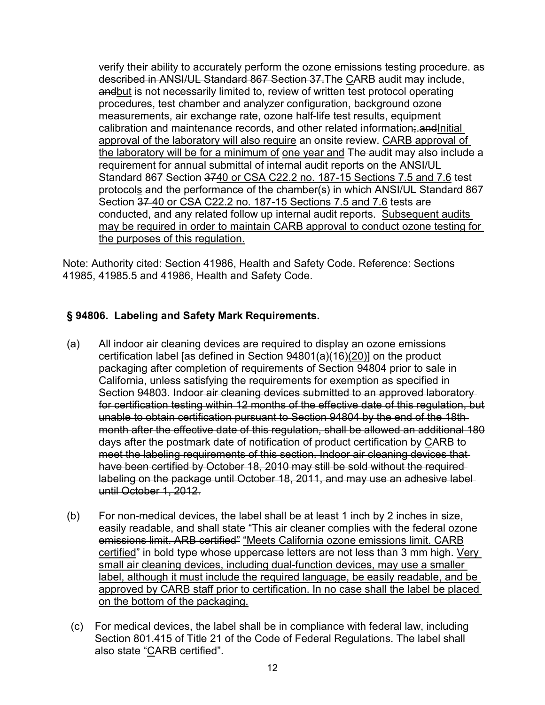<u>the laboratory will be for a minimum of one year and</u> <del>The audit</del> may <del>also</del> include a requirement for annual submittal of internal audit reports on the ANSI/UL Standard 867 Section <del>37<u>40 or CSA C22.2 no. 187-15 Sections 7.5</u> and 7.6</del> test Section 37 40 or CSA C22.2 no. 187-15 Sections 7.5 and 7.6 tests are conducted, and any related follow up internal audit reports. Subsequent audits may be required in order to maintain CARB approval to conduct ozone testing for verify their ability to accurately perform the ozone emissions testing procedure. as described in ANSI/UL Standard 867 Section 37.The CARB audit may include, andbut is not necessarily limited to, review of written test protocol operating procedures, test chamber and analyzer configuration, background ozone measurements, air exchange rate, ozone half-life test results, equipment calibration and maintenance records, and other related information;.andInitial approval of the laboratory will also require an onsite review. CARB approval of protocols and the performance of the chamber(s) in which ANSI/UL Standard 867 the purposes of this regulation.

Note: Authority cited: Section 41986, Health and Safety Code. Reference: Sections 41985, 41985.5 and 41986, Health and Safety Code.

# **§ 94806. Labeling and Safety Mark Requirements.**

- Section 94803. Indoor air cleaning devices submitted to an approved laboratory for certification testing within 12 months of the effective date of this regulation, but (a) All indoor air cleaning devices are required to display an ozone emissions certification label [as defined in Section 94801(a)(16)(20)] on the product packaging after completion of requirements of Section 94804 prior to sale in California, unless satisfying the requirements for exemption as specified in unable to obtain certification pursuant to Section 94804 by the end of the 18th month after the effective date of this regulation, shall be allowed an additional 180 days after the postmark date of notification of product certification by CARB to meet the labeling requirements of this section. Indoor air cleaning devices that have been certified by October 18, 2010 may still be sold without the required labeling on the package until October 18, 2011, and may use an adhesive label until October 1, 2012.
- <u>certified</u>" in bold type whose uppercase letters are not less than 3 mm high. <u>Very</u> small air cleaning devices, including dual-function devices, may use a smaller label, although it must include the required language, be easily readable, and be approved by CARB staff prior to certification. In no case shall the label be placed (b) For non-medical devices, the label shall be at least 1 inch by 2 inches in size, easily readable, and shall state "This air cleaner complies with the federal ozoneemissions limit. ARB certified" "Meets California ozone emissions limit. CARB on the bottom of the packaging.
- Section 801.415 of Title 21 of the Code of Federal Regulations. The label shall also state "<u>C</u>ARB certified". (c) For medical devices, the label shall be in compliance with federal law, including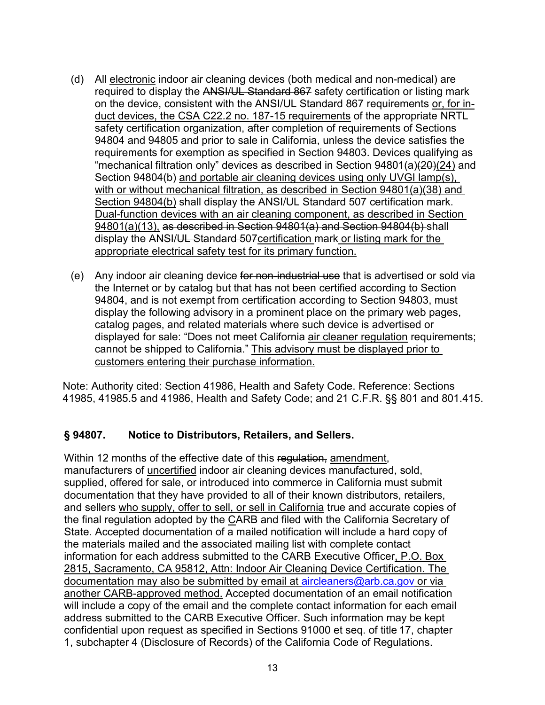- duct devices, the CSA C22.2 no. 187-15 requirements of the appropriate NRTL with or without mechanical filtration, as described in Section 94801(a)(38) and Section 94804(b) shall display the ANSI/UL Standard 507 certification mark. display the <del>ANSI/UL Standard 507</del><u>certification mark or listing mark for the </u> appropriate electrical safety test for its primary function. (d) All electronic indoor air cleaning devices (both medical and non-medical) are required to display the ANSI/UL Standard 867 safety certification or listing mark on the device, consistent with the ANSI/UL Standard 867 requirements or, for insafety certification organization, after completion of requirements of Sections 94804 and 94805 and prior to sale in California, unless the device satisfies the requirements for exemption as specified in Section 94803. Devices qualifying as "mechanical filtration only" devices as described in Section 94801(a)(20)(24) and Section 94804(b) and portable air cleaning devices using only UVGI lamp(s), Dual-function devices with an air cleaning component, as described in Section 94801(a)(13), as described in Section 94801(a) and Section 94804(b)-shall
- (e) Any indoor air cleaning device for non-industrial use that is advertised or sold via the Internet or by catalog but that has not been certified according to Section 94804, and is not exempt from certification according to Section 94803, must display the following advisory in a prominent place on the primary web pages, catalog pages, and related materials where such device is advertised or displayed for sale: "Does not meet California air cleaner regulation requirements; cannot be shipped to California." This advisory must be displayed prior to customers entering their purchase information.

Note: Authority cited: Section 41986, Health and Safety Code. Reference: Sections 41985, 41985.5 and 41986, Health and Safety Code; and 21 C.F.R. §§ 801 and 801.415.

#### **§ 94807. Notice to Distributors, Retailers, and Sellers.**

 supplied, offered for sale, or introduced into commerce in California must submit and sellers who supply, offer to sell, or sell in California true and accurate copies of confidential upon request as specified in Sections 91000 et seq. of title 17, chapter Within 12 months of the effective date of this regulation, amendment, manufacturers of uncertified indoor air cleaning devices manufactured, sold, documentation that they have provided to all of their known distributors, retailers, the final regulation adopted by the CARB and filed with the California Secretary of State. Accepted documentation of a mailed notification will include a hard copy of the materials mailed and the associated mailing list with complete contact information for each address submitted to the CARB Executive Officer, P.O. Box 2815, Sacramento, CA 95812, Attn: Indoor Air Cleaning Device Certification. The documentation may also be submitted by email at [aircleaners@arb.ca.gov](mailto:aircleaners@arb.ca.gov) or via another CARB-approved method. Accepted documentation of an email notification will include a copy of the email and the complete contact information for each email address submitted to the CARB Executive Officer. Such information may be kept 1, subchapter 4 (Disclosure of Records) of the California Code of Regulations.